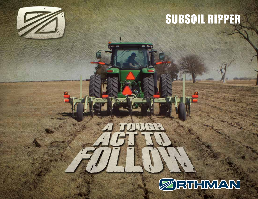# SUBSOIL RIPPER



**a** 

LIHA

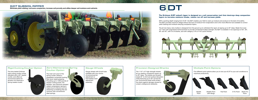# 6|DT SUBSOIL RIPPER

**Eliminate yield-robbing, root-zone compaction, increase soil porosity and utilize deeper soil moisture and nutrients**



# Zero Maintenance Spring Coulter Option

The main-arm pivot of the spring coulter utilizes a greaseless composite bushing that never needs greasing. Providing up to 1,200 pounds of residue-cutting power, the fertilizer- and chemical-resistant rubber compression spring is impervious to failures such as stretching or breaking that are common with conventional steel springs.

With a working depth ranging from 8-20", the 6|DT enables your field to soak up moisture and produce to the best of its ability. The 6|DT provides maximum tillage without the loss of moisture from evaporation and is the most effective tool available to correct yield-robbing and moisture-denying compaction layers.

### Rigid Cutting Coulter Option

The time-tested Orthman rigid cutting coulter comes standard with a 20" rippled coulter, and offers an economical option for growers not requiring a spring loaded coulter.



## Gauge Wheels



Gauge wheels with 6-bolt hubs available with your choice of economical pin adiustment or time-tested crank adjustment assembly.

# **6DT**

#### **The Orthman 6|DT subsoil ripper is designed as a soil conservation tool that destroys deep compaction layers to increase moisture intake, reduce run off and increase yields.**

The all new heavy-duty toolbar is designed from the ground up to withstand the rigors of ripping up to 20" deep. Made from dual 7x7" bars with engineered reinforcements to provide unmatched toolbar strength, the 6|DT is available in row spacing's of 30", 36", 38" and 40", with 5 to 9 shanks, and with category 3-N or 4-N 3-point hitches.